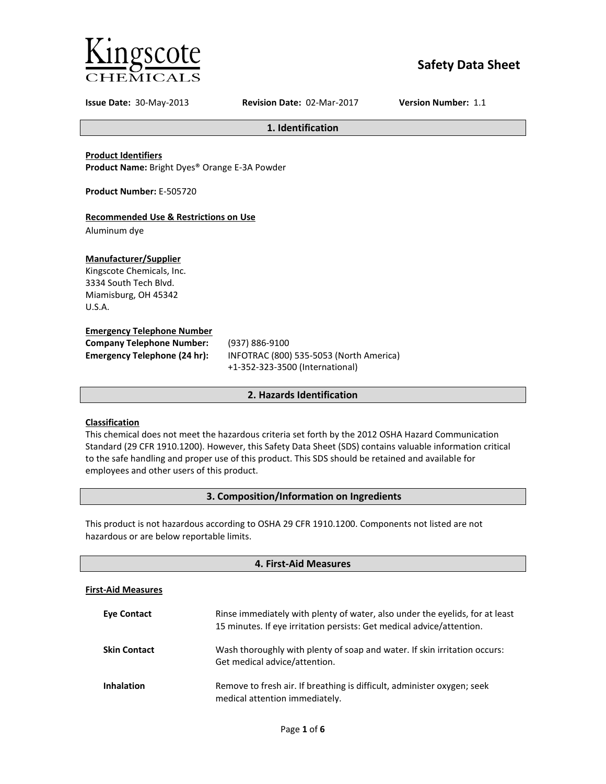

# **Safety Data Sheet**

**Issue Date:** 30-May-2013 **Revision Date:** 02-Mar-2017 **Version Number:** 1.1

**1. Identification**

**Product Identifiers**

**Product Name:** Bright Dyes® Orange E-3A Powder

**Product Number:** E-505720

## **Recommended Use & Restrictions on Use**

Aluminum dye

## **Manufacturer/Supplier**

Kingscote Chemicals, Inc. 3334 South Tech Blvd. Miamisburg, OH 45342 U.S.A.

## **Emergency Telephone Number**

| <b>Company Telephone Number:</b>    | (93)       |
|-------------------------------------|------------|
| <b>Emergency Telephone (24 hr):</b> | <b>INF</b> |
|                                     |            |

**Company Telephone Number:** (937) 886-9100 **Emergency Telephone (24 hr):** INFOTRAC (800) 535-5053 (North America) +1-352-323-3500 (International)

## **2. Hazards Identification**

## **Classification**

This chemical does not meet the hazardous criteria set forth by the 2012 OSHA Hazard Communication Standard (29 CFR 1910.1200). However, this Safety Data Sheet (SDS) contains valuable information critical to the safe handling and proper use of this product. This SDS should be retained and available for employees and other users of this product.

## **3. Composition/Information on Ingredients**

This product is not hazardous according to OSHA 29 CFR 1910.1200. Components not listed are not hazardous or are below reportable limits.

| 4. First-Aid Measures     |                                                                                                                                                       |  |
|---------------------------|-------------------------------------------------------------------------------------------------------------------------------------------------------|--|
| <b>First-Aid Measures</b> |                                                                                                                                                       |  |
| <b>Eve Contact</b>        | Rinse immediately with plenty of water, also under the eyelids, for at least<br>15 minutes. If eye irritation persists: Get medical advice/attention. |  |
| <b>Skin Contact</b>       | Wash thoroughly with plenty of soap and water. If skin irritation occurs:<br>Get medical advice/attention.                                            |  |
| <b>Inhalation</b>         | Remove to fresh air. If breathing is difficult, administer oxygen; seek<br>medical attention immediately.                                             |  |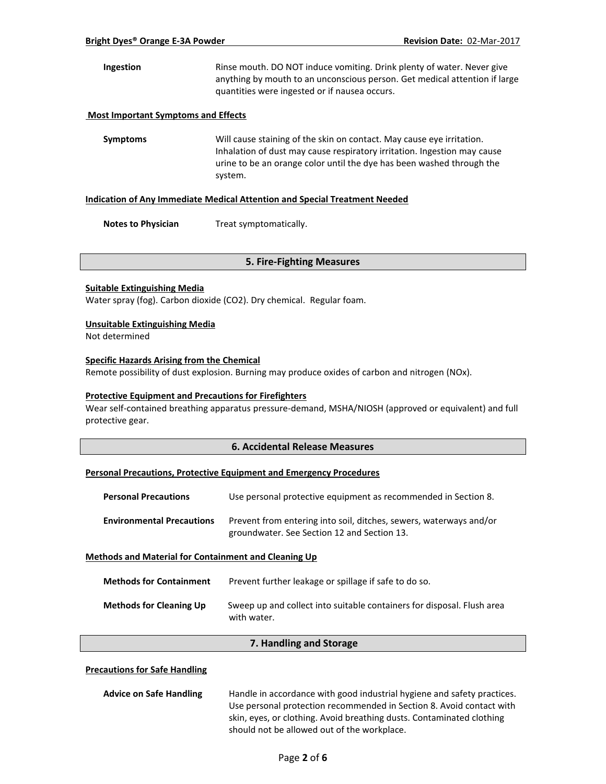**Ingestion** Rinse mouth. DO NOT induce vomiting. Drink plenty of water. Never give anything by mouth to an unconscious person. Get medical attention if large quantities were ingested or if nausea occurs.

## **Most Important Symptoms and Effects**

**Symptoms** Will cause staining of the skin on contact. May cause eye irritation. Inhalation of dust may cause respiratory irritation. Ingestion may cause urine to be an orange color until the dye has been washed through the system.

#### **Indication of Any Immediate Medical Attention and Special Treatment Needed**

**Notes to Physician** Treat symptomatically.

#### **5. Fire-Fighting Measures**

#### **Suitable Extinguishing Media**

Water spray (fog). Carbon dioxide (CO2). Dry chemical. Regular foam.

#### **Unsuitable Extinguishing Media**

Not determined

## **Specific Hazards Arising from the Chemical**

Remote possibility of dust explosion. Burning may produce oxides of carbon and nitrogen (NOx).

### **Protective Equipment and Precautions for Firefighters**

Wear self-contained breathing apparatus pressure-demand, MSHA/NIOSH (approved or equivalent) and full protective gear.

## **6. Accidental Release Measures**

#### **Personal Precautions, Protective Equipment and Emergency Procedures**

| <b>Personal Precautions</b>                                 | Use personal protective equipment as recommended in Section 8.                                                    |  |
|-------------------------------------------------------------|-------------------------------------------------------------------------------------------------------------------|--|
| <b>Environmental Precautions</b>                            | Prevent from entering into soil, ditches, sewers, waterways and/or<br>groundwater. See Section 12 and Section 13. |  |
| <b>Methods and Material for Containment and Cleaning Up</b> |                                                                                                                   |  |

| <b>Methods for Containment</b> | Prevent further leakage or spillage if safe to do so.                                 |
|--------------------------------|---------------------------------------------------------------------------------------|
| <b>Methods for Cleaning Up</b> | Sweep up and collect into suitable containers for disposal. Flush area<br>with water. |

#### **7. Handling and Storage**

### **Precautions for Safe Handling**

| <b>Advice on Safe Handling</b> | Handle in accordance with good industrial hygiene and safety practices. |
|--------------------------------|-------------------------------------------------------------------------|
|                                | Use personal protection recommended in Section 8. Avoid contact with    |
|                                | skin, eyes, or clothing. Avoid breathing dusts. Contaminated clothing   |
|                                | should not be allowed out of the workplace.                             |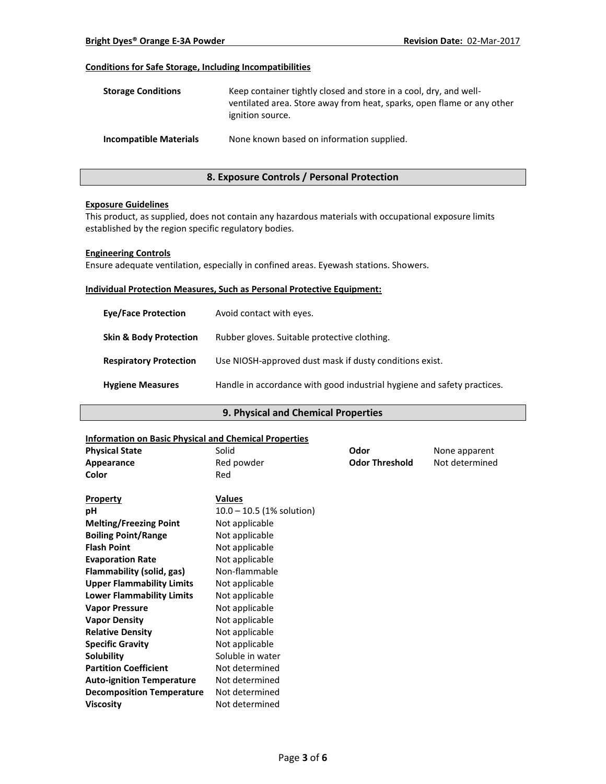## **Conditions for Safe Storage, Including Incompatibilities**

| <b>Storage Conditions</b>     | Keep container tightly closed and store in a cool, dry, and well-<br>ventilated area. Store away from heat, sparks, open flame or any other<br>ignition source. |
|-------------------------------|-----------------------------------------------------------------------------------------------------------------------------------------------------------------|
| <b>Incompatible Materials</b> | None known based on information supplied.                                                                                                                       |

## **8. Exposure Controls / Personal Protection**

#### **Exposure Guidelines**

This product, as supplied, does not contain any hazardous materials with occupational exposure limits established by the region specific regulatory bodies.

#### **Engineering Controls**

Ensure adequate ventilation, especially in confined areas. Eyewash stations. Showers.

#### **Individual Protection Measures, Such as Personal Protective Equipment:**

| <b>Eve/Face Protection</b>        | Avoid contact with eyes.                                                |
|-----------------------------------|-------------------------------------------------------------------------|
| <b>Skin &amp; Body Protection</b> | Rubber gloves. Suitable protective clothing.                            |
| <b>Respiratory Protection</b>     | Use NIOSH-approved dust mask if dusty conditions exist.                 |
| <b>Hygiene Measures</b>           | Handle in accordance with good industrial hygiene and safety practices. |

## **9. Physical and Chemical Properties**

#### **Information on Basic Physical and Chemical Properties**

| <b>Physical State</b>            | Solid                       | Odor                  | None apparent  |
|----------------------------------|-----------------------------|-----------------------|----------------|
| Appearance                       | Red powder                  | <b>Odor Threshold</b> | Not determined |
| Color                            | Red                         |                       |                |
| <b>Property</b>                  | <b>Values</b>               |                       |                |
| pH                               | $10.0 - 10.5$ (1% solution) |                       |                |
| <b>Melting/Freezing Point</b>    | Not applicable              |                       |                |
| <b>Boiling Point/Range</b>       | Not applicable              |                       |                |
| <b>Flash Point</b>               | Not applicable              |                       |                |
| <b>Evaporation Rate</b>          | Not applicable              |                       |                |
| Flammability (solid, gas)        | Non-flammable               |                       |                |
| <b>Upper Flammability Limits</b> | Not applicable              |                       |                |
| <b>Lower Flammability Limits</b> | Not applicable              |                       |                |
| <b>Vapor Pressure</b>            | Not applicable              |                       |                |
| <b>Vapor Density</b>             | Not applicable              |                       |                |
| <b>Relative Density</b>          | Not applicable              |                       |                |
| <b>Specific Gravity</b>          | Not applicable              |                       |                |
| <b>Solubility</b>                | Soluble in water            |                       |                |
| <b>Partition Coefficient</b>     | Not determined              |                       |                |
| <b>Auto-ignition Temperature</b> | Not determined              |                       |                |
| <b>Decomposition Temperature</b> | Not determined              |                       |                |
| <b>Viscosity</b>                 | Not determined              |                       |                |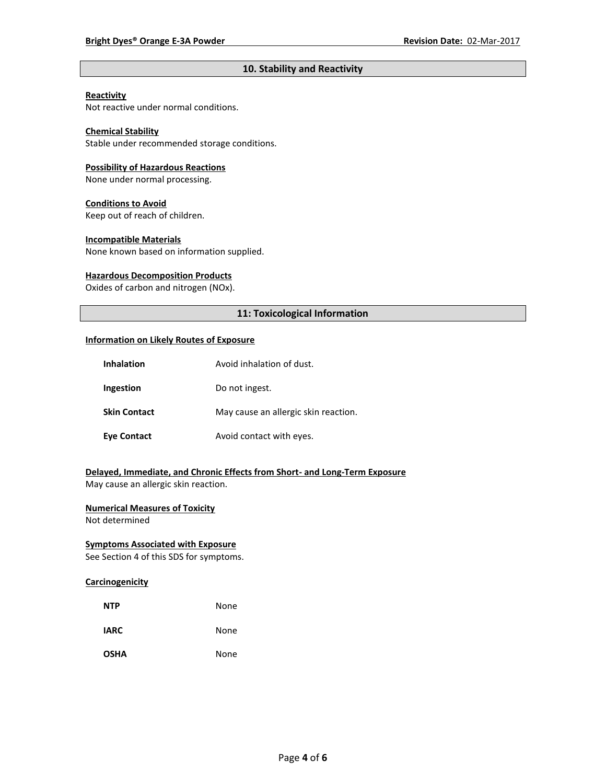## **10. Stability and Reactivity**

## **Reactivity**

Not reactive under normal conditions.

## **Chemical Stability**

Stable under recommended storage conditions.

#### **Possibility of Hazardous Reactions**

None under normal processing.

#### **Conditions to Avoid**

Keep out of reach of children.

#### **Incompatible Materials**

None known based on information supplied.

#### **Hazardous Decomposition Products**

Oxides of carbon and nitrogen (NOx).

## **11: Toxicological Information**

#### **Information on Likely Routes of Exposure**

| <b>Inhalation</b>   | Avoid inhalation of dust.            |
|---------------------|--------------------------------------|
| Ingestion           | Do not ingest.                       |
| <b>Skin Contact</b> | May cause an allergic skin reaction. |
| <b>Eye Contact</b>  | Avoid contact with eyes.             |

## **Delayed, Immediate, and Chronic Effects from Short- and Long-Term Exposure**

May cause an allergic skin reaction.

## **Numerical Measures of Toxicity**

Not determined

## **Symptoms Associated with Exposure**

See Section 4 of this SDS for symptoms.

## **Carcinogenicity**

| <b>NTP</b>  | None |
|-------------|------|
| <b>IARC</b> | None |
| <b>OSHA</b> | None |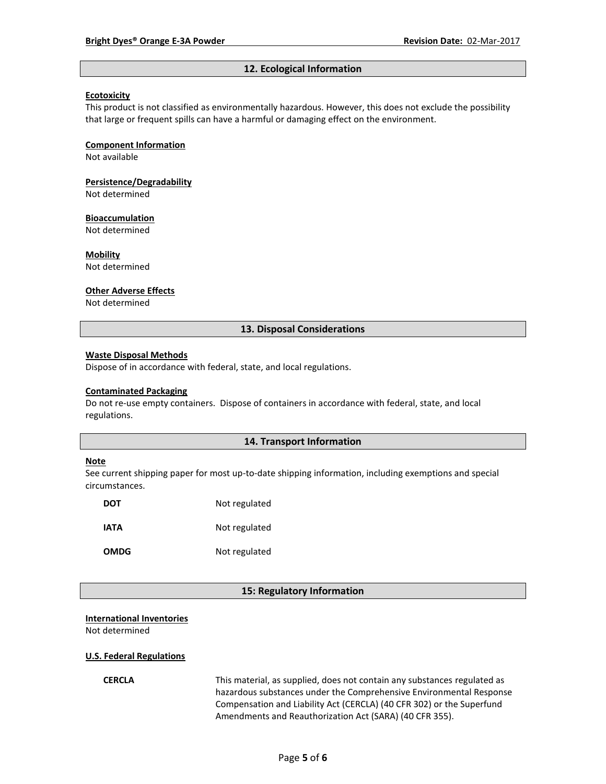#### **12. Ecological Information**

#### **Ecotoxicity**

This product is not classified as environmentally hazardous. However, this does not exclude the possibility that large or frequent spills can have a harmful or damaging effect on the environment.

#### **Component Information**

Not available

# **Persistence/Degradability**

Not determined

#### **Bioaccumulation**

Not determined

#### **Mobility**

Not determined

#### **Other Adverse Effects**

Not determined

#### **13. Disposal Considerations**

#### **Waste Disposal Methods**

Dispose of in accordance with federal, state, and local regulations.

#### **Contaminated Packaging**

Do not re-use empty containers.Dispose of containers in accordance with federal, state, and local regulations.

## **14. Transport Information**

#### **Note**

See current shipping paper for most up-to-date shipping information, including exemptions and special circumstances.

| DOT         | Not regulated |
|-------------|---------------|
| IATA        | Not regulated |
| <b>OMDG</b> | Not regulated |

#### **15: Regulatory Information**

#### **International Inventories**

Not determined

#### **U.S. Federal Regulations**

**CERCLA** This material, as supplied, does not contain any substances regulated as hazardous substances under the Comprehensive Environmental Response Compensation and Liability Act (CERCLA) (40 CFR 302) or the Superfund Amendments and Reauthorization Act (SARA) (40 CFR 355).